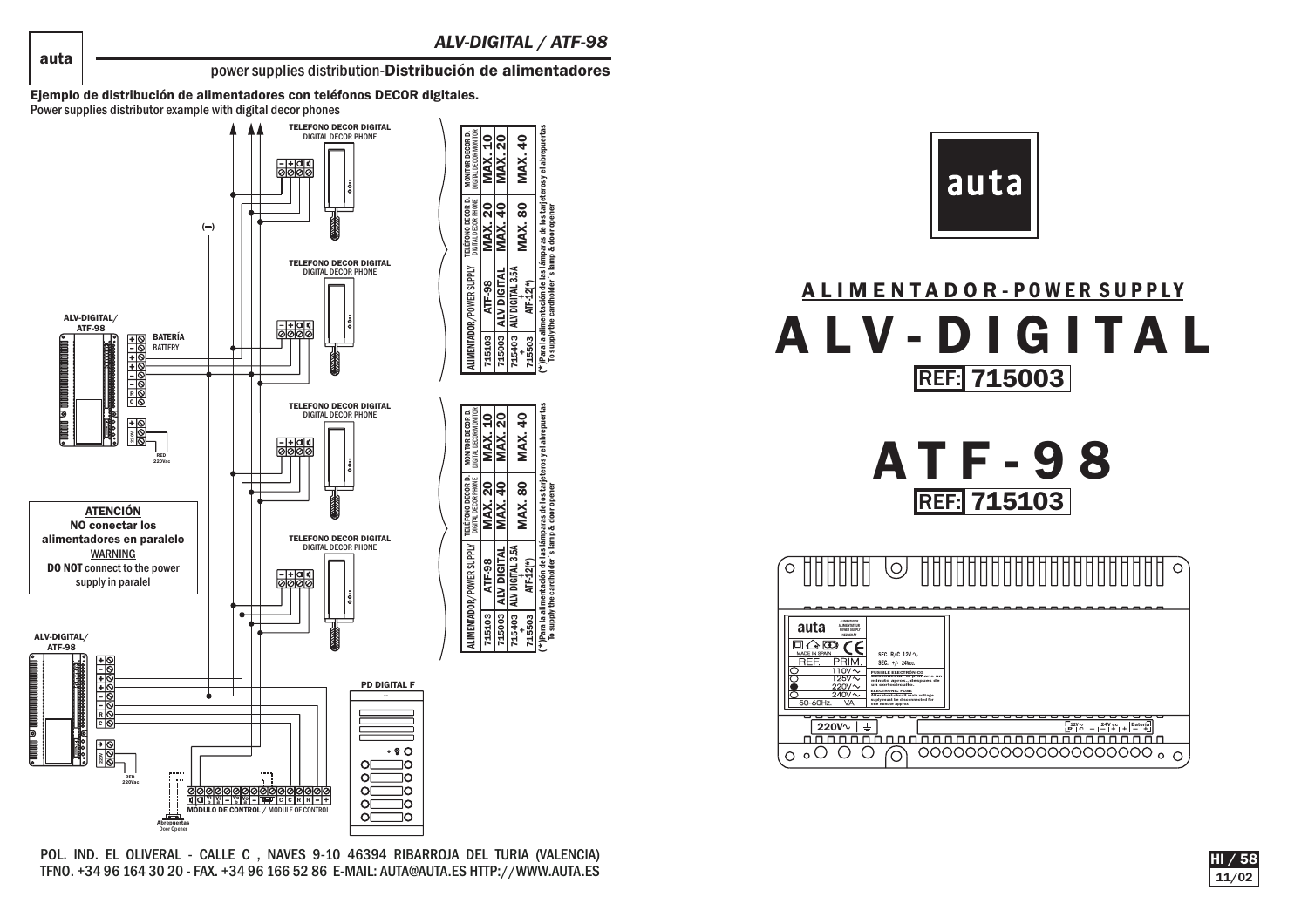<u>|</u>ମ୍ବ **MAX.** 

MAX. 80 ALV DIGITAL 3.5A  $\parallel$  MAX. 80  $\parallel$  MAX. 40<br>ATF-12(\*)

 $\overline{a}$ MAX. (\*)Para la alimentación de las lámparas de los tarjeteros y el abrepuertas To supply the cardholder´s lamp & door opener

MAX. 1 **MAX.** 

0

ALV DIGITAL ATF-98

**GITAL**<br>TAL352

715103 715003 715403<br>715503<br>715503

**MAX. 20**<br>MAX. 40 **MAX.** 

MAX. 80 ALV DIGITAL 3.5A  $\parallel$  MAX. 80  $\parallel$  MAX. 40<br>ATF-12(\*)

S MAX. (\*)Para la alimentación de las lámparas de los tarjeteros y el abrepuertas To supply the cardholder´s lamp & door opener

 $\tilde{\mathbf{k}}$ **MAX.** 

0

ALV DIGITAL ATF-98

715103 715003 715403<br>715503<br>715503

power supplies distribution-Distribución de alimentadores

Ejemplo de distribución de alimentadores con teléfonos DECOR digitales. Power supplies distributor example with digital decor phones



POL. IND. EL OLIVERAL - CALLE C , NAVES 9-10 46394 RIBARROJA DEL TURIA (VALENCIA) TFNO. +34 96 164 30 20 - FAX. +34 96 166 52 86 E-MAIL: AUTA@AUTA.ES HTTP://WWW.AUTA.ES



## ALIMENTADOR- POWER SUPPLY ALV-DIGITAL<u>REF:</u>| 715003

ATF-98 <u>REF:</u>| 715103